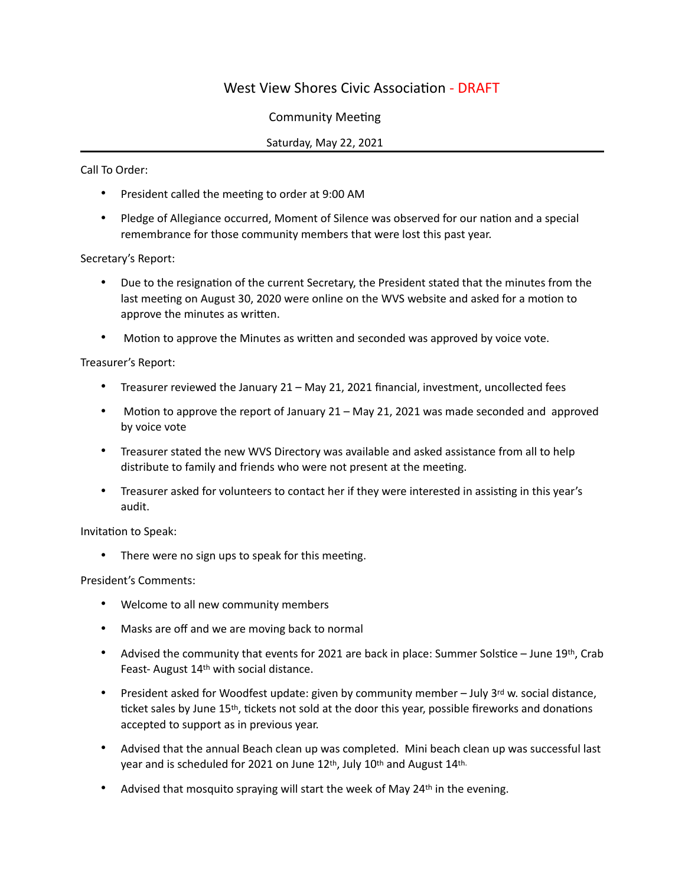## West View Shores Civic Association - DRAFT

## Community Meeting

## Saturday, May 22, 2021

Call To Order:

- President called the meeting to order at 9:00 AM
- Pledge of Allegiance occurred, Moment of Silence was observed for our nation and a special remembrance for those community members that were lost this past year.

Secretary's Report:

- Due to the resignation of the current Secretary, the President stated that the minutes from the last meeting on August 30, 2020 were online on the WVS website and asked for a motion to approve the minutes as written.
- Motion to approve the Minutes as written and seconded was approved by voice vote.

Treasurer's Report:

- Treasurer reviewed the January 21 May 21, 2021 financial, investment, uncollected fees
- Motion to approve the report of January 21 May 21, 2021 was made seconded and approved by voice vote
- Treasurer stated the new WVS Directory was available and asked assistance from all to help distribute to family and friends who were not present at the meeting.
- Treasurer asked for volunteers to contact her if they were interested in assisting in this year's audit.

Invitation to Speak:

• There were no sign ups to speak for this meeting.

President's Comments:

- Welcome to all new community members
- Masks are off and we are moving back to normal
- Advised the community that events for 2021 are back in place: Summer Solstice June 19th, Crab Feast- August 14th with social distance.
- President asked for Woodfest update: given by community member  $-$  July 3<sup>rd</sup> w. social distance, ticket sales by June 15th, tickets not sold at the door this year, possible fireworks and donations accepted to support as in previous year.
- Advised that the annual Beach clean up was completed. Mini beach clean up was successful last year and is scheduled for 2021 on June 12th, July 10th and August 14th.
- Advised that mosquito spraying will start the week of May  $24<sup>th</sup>$  in the evening.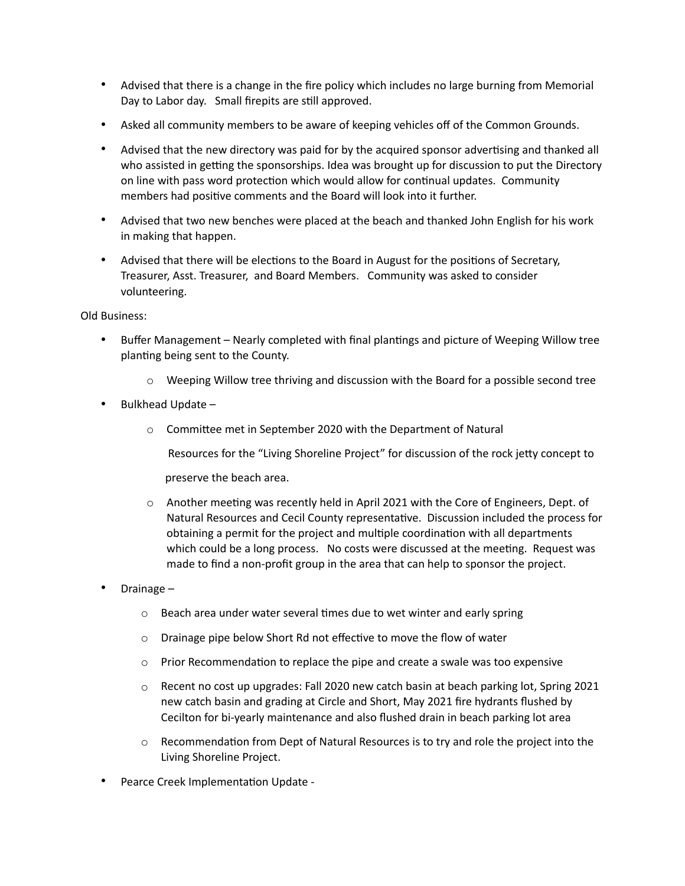- Advised that there is a change in the fire policy which includes no large burning from Memorial Day to Labor day. Small firepits are still approved.
- Asked all community members to be aware of keeping vehicles off of the Common Grounds.
- Advised that the new directory was paid for by the acquired sponsor advertising and thanked all who assisted in getting the sponsorships. Idea was brought up for discussion to put the Directory on line with pass word protection which would allow for continual updates. Community members had positive comments and the Board will look into it further.
- Advised that two new benches were placed at the beach and thanked John English for his work in making that happen.
- Advised that there will be elections to the Board in August for the positions of Secretary, Treasurer, Asst. Treasurer, and Board Members. Community was asked to consider volunteering.

Old Business:

- Buffer Management Nearly completed with final plantings and picture of Weeping Willow tree planting being sent to the County.
	- $\circ$  Weeping Willow tree thriving and discussion with the Board for a possible second tree
- Bulkhead Update
	- o Committee met in September 2020 with the Department of Natural
		- Resources for the "Living Shoreline Project" for discussion of the rock jetty concept to

preserve the beach area.

- o Another meeting was recently held in April 2021 with the Core of Engineers, Dept. of Natural Resources and Cecil County representative. Discussion included the process for obtaining a permit for the project and multiple coordination with all departments which could be a long process. No costs were discussed at the meeting. Request was made to find a non-profit group in the area that can help to sponsor the project.
- Drainage
	- o Beach area under water several times due to wet winter and early spring
	- $\circ$  Drainage pipe below Short Rd not effective to move the flow of water
	- $\circ$  Prior Recommendation to replace the pipe and create a swale was too expensive
	- $\circ$  Recent no cost up upgrades: Fall 2020 new catch basin at beach parking lot, Spring 2021 new catch basin and grading at Circle and Short, May 2021 fire hydrants flushed by Cecilton for bi-yearly maintenance and also flushed drain in beach parking lot area
	- $\circ$  Recommendation from Dept of Natural Resources is to try and role the project into the Living Shoreline Project.
- Pearce Creek Implementation Update -